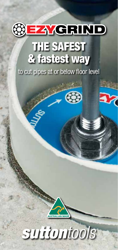

## THE SAFEST & fastest way

to cut pipes at or below floor level

63



## suttontools